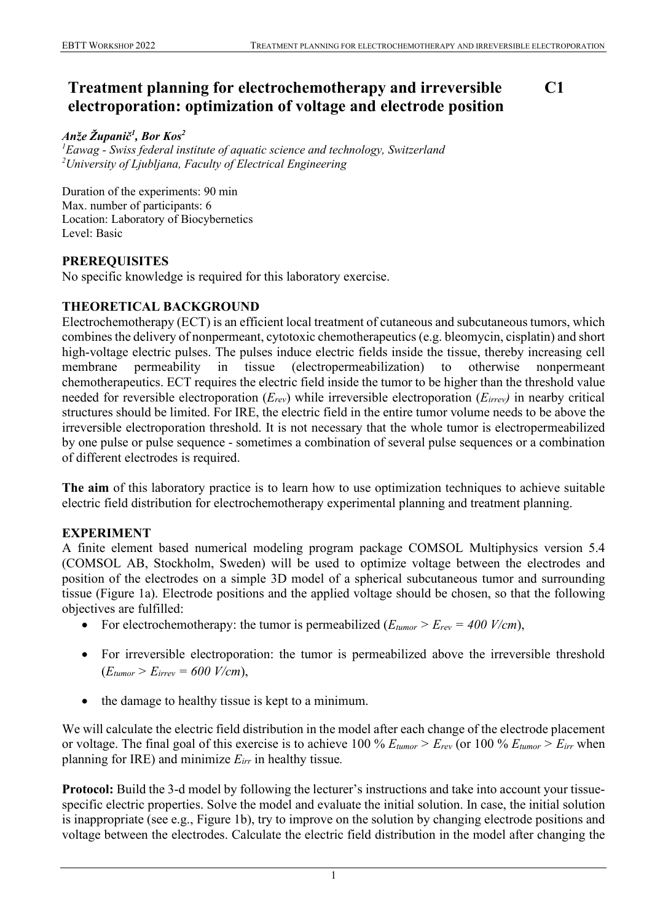#### **Treatment planning for electrochemotherapy and irreversible electroporation: optimization of voltage and electrode position C1**

## *Anže Županič<sup>1</sup> , Bor Kos<sup>2</sup>*

*1 Eawag - Swiss federal institute of aquatic science and technology, Switzerland 2 University of Ljubljana, Faculty of Electrical Engineering*

Duration of the experiments: 90 min Max. number of participants: 6 Location: Laboratory of Biocybernetics Level: Basic

### **PREREQUISITES**

No specific knowledge is required for this laboratory exercise.

### **THEORETICAL BACKGROUND**

Electrochemotherapy (ECT) is an efficient local treatment of cutaneous and subcutaneous tumors, which combines the delivery of nonpermeant, cytotoxic chemotherapeutics (e.g. bleomycin, cisplatin) and short high-voltage electric pulses. The pulses induce electric fields inside the tissue, thereby increasing cell membrane permeability in tissue (electropermeabilization) to otherwise nonpermeant chemotherapeutics. ECT requires the electric field inside the tumor to be higher than the threshold value needed for reversible electroporation (*Erev*) while irreversible electroporation (*Eirrev)* in nearby critical structures should be limited. For IRE, the electric field in the entire tumor volume needs to be above the irreversible electroporation threshold. It is not necessary that the whole tumor is electropermeabilized by one pulse or pulse sequence - sometimes a combination of several pulse sequences or a combination of different electrodes is required.

**The aim** of this laboratory practice is to learn how to use optimization techniques to achieve suitable electric field distribution for electrochemotherapy experimental planning and treatment planning.

### **EXPERIMENT**

A finite element based numerical modeling program package COMSOL Multiphysics version 5.4 (COMSOL AB, Stockholm, Sweden) will be used to optimize voltage between the electrodes and position of the electrodes on a simple 3D model of a spherical subcutaneous tumor and surrounding tissue (Figure 1a). Electrode positions and the applied voltage should be chosen, so that the following objectives are fulfilled:

- For electrochemotherapy: the tumor is permeabilized  $(E_{tumor} > E_{rev} = 400 \text{ V/cm})$ ,
- For irreversible electroporation: the tumor is permeabilized above the irreversible threshold  $(E_{tumor} > E_{irrev} = 600$   $V/cm$ ),
- the damage to healthy tissue is kept to a minimum.

We will calculate the electric field distribution in the model after each change of the electrode placement or voltage. The final goal of this exercise is to achieve 100 % *Etumor > Erev* (or 100 % *Etumor > Eirr* when planning for IRE) and minimize *Eirr* in healthy tissue*.*

**Protocol:** Build the 3-d model by following the lecturer's instructions and take into account your tissuespecific electric properties. Solve the model and evaluate the initial solution. In case, the initial solution is inappropriate (see e.g., Figure 1b), try to improve on the solution by changing electrode positions and voltage between the electrodes. Calculate the electric field distribution in the model after changing the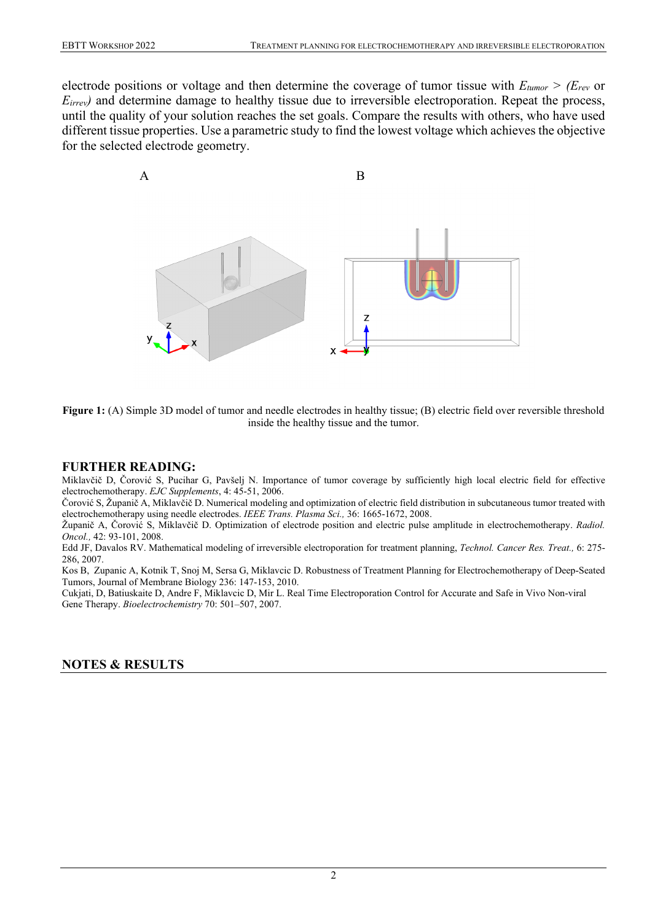electrode positions or voltage and then determine the coverage of tumor tissue with *Etumor > (Erev* or *E<sub>irrev</sub>*) and determine damage to healthy tissue due to irreversible electroporation. Repeat the process, until the quality of your solution reaches the set goals. Compare the results with others, who have used different tissue properties. Use a parametric study to find the lowest voltage which achieves the objective for the selected electrode geometry.



**Figure 1:** (A) Simple 3D model of tumor and needle electrodes in healthy tissue; (B) electric field over reversible threshold inside the healthy tissue and the tumor.

#### **FURTHER READING:**

Miklavčič D, Čorović S, Pucihar G, Pavšelj N. Importance of tumor coverage by sufficiently high local electric field for effective electrochemotherapy. *EJC Supplements*, 4: 45-51, 2006.

Čorović S, Županič A, Miklavčič D. Numerical modeling and optimization of electric field distribution in subcutaneous tumor treated with electrochemotherapy using needle electrodes. *IEEE Trans. Plasma Sci.,* 36: 1665-1672, 2008.

Županič A, Čorović S, Miklavčič D. Optimization of electrode position and electric pulse amplitude in electrochemotherapy. *Radiol. Oncol.,* 42: 93-101, 2008.

Edd JF, Davalos RV. Mathematical modeling of irreversible electroporation for treatment planning, *Technol. Cancer Res. Treat.,* 6: 275- 286, 2007.

Kos B, Zupanic A, Kotnik T, Snoj M, Sersa G, Miklavcic D. Robustness of Treatment Planning for Electrochemotherapy of Deep-Seated Tumors, Journal of Membrane Biology 236: 147-153, 2010.

Cukjati, D, Batiuskaite D, Andre F, Miklavcic D, Mir L. Real Time Electroporation Control for Accurate and Safe in Vivo Non-viral Gene Therapy. *Bioelectrochemistry* 70: 501–507, 2007.

#### **NOTES & RESULTS**